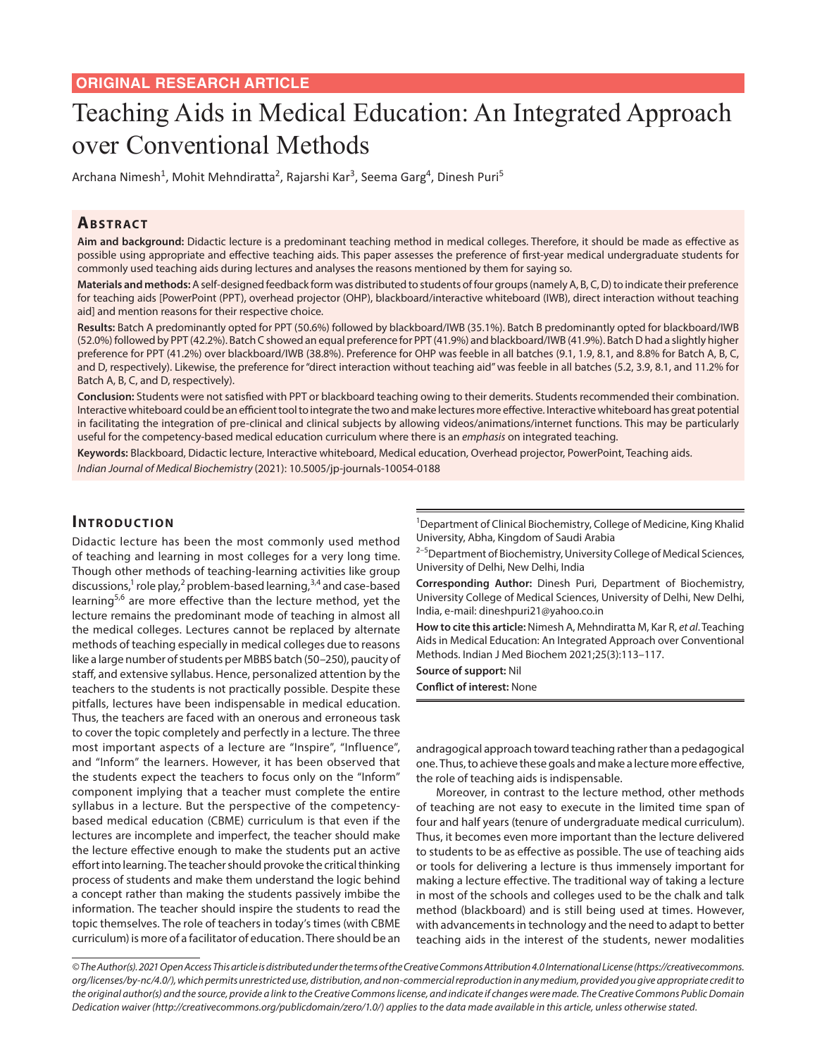# Teaching Aids in Medical Education: An Integrated Approach over Conventional Methods

Archana Nimesh<sup>1</sup>, Mohit Mehndiratta<sup>2</sup>, Rajarshi Kar<sup>3</sup>, Seema Garg<sup>4</sup>, Dinesh Puri<sup>5</sup>

#### **ABSTRACT**

**Aim and background:** Didactic lecture is a predominant teaching method in medical colleges. Therefore, it should be made as effective as possible using appropriate and effective teaching aids. This paper assesses the preference of first-year medical undergraduate students for commonly used teaching aids during lectures and analyses the reasons mentioned by them for saying so.

**Materials and methods:** A self-designed feedback form was distributed to students of four groups (namely A, B, C, D) to indicate their preference for teaching aids [PowerPoint (PPT), overhead projector (OHP), blackboard/interactive whiteboard (IWB), direct interaction without teaching aid] and mention reasons for their respective choice.

**Results:** Batch A predominantly opted for PPT (50.6%) followed by blackboard/IWB (35.1%). Batch B predominantly opted for blackboard/IWB (52.0%) followed by PPT (42.2%). Batch C showed an equal preference for PPT (41.9%) and blackboard/IWB (41.9%). Batch D had a slightly higher preference for PPT (41.2%) over blackboard/IWB (38.8%). Preference for OHP was feeble in all batches (9.1, 1.9, 8.1, and 8.8% for Batch A, B, C, and D, respectively). Likewise, the preference for "direct interaction without teaching aid" was feeble in all batches (5.2, 3.9, 8.1, and 11.2% for Batch A, B, C, and D, respectively).

**Conclusion:** Students were not satisfied with PPT or blackboard teaching owing to their demerits. Students recommended their combination. Interactive whiteboard could be an efficient tool to integrate the two and make lectures more effective. Interactive whiteboard has great potential in facilitating the integration of pre-clinical and clinical subjects by allowing videos/animations/internet functions. This may be particularly useful for the competency-based medical education curriculum where there is an *emphasis* on integrated teaching.

**Keywords:** Blackboard, Didactic lecture, Interactive whiteboard, Medical education, Overhead projector, PowerPoint, Teaching aids. *Indian Journal of Medical Biochemistry* (2021): 10.5005/jp-journals-10054-0188

# **INTRODUCTION**

Didactic lecture has been the most commonly used method of teaching and learning in most colleges for a very long time. Though other methods of teaching-learning activities like group discussions,<sup>1</sup> role play,<sup>2</sup> problem-based learning,<sup>3,4</sup> and case-based learning<sup>5,6</sup> are more effective than the lecture method, yet the lecture remains the predominant mode of teaching in almost all the medical colleges. Lectures cannot be replaced by alternate methods of teaching especially in medical colleges due to reasons like a large number of students per MBBS batch (50–250), paucity of staff, and extensive syllabus. Hence, personalized attention by the teachers to the students is not practically possible. Despite these pitfalls, lectures have been indispensable in medical education. Thus, the teachers are faced with an onerous and erroneous task to cover the topic completely and perfectly in a lecture. The three most important aspects of a lecture are "Inspire", "Influence", and "Inform" the learners. However, it has been observed that the students expect the teachers to focus only on the "Inform" component implying that a teacher must complete the entire syllabus in a lecture. But the perspective of the competencybased medical education (CBME) curriculum is that even if the lectures are incomplete and imperfect, the teacher should make the lecture effective enough to make the students put an active effort into learning. The teacher should provoke the critical thinking process of students and make them understand the logic behind a concept rather than making the students passively imbibe the information. The teacher should inspire the students to read the topic themselves. The role of teachers in today's times (with CBME curriculum) is more of a facilitator of education. There should be an

<sup>1</sup>Department of Clinical Biochemistry, College of Medicine, King Khalid University, Abha, Kingdom of Saudi Arabia

<sup>2–5</sup>Department of Biochemistry, University College of Medical Sciences, University of Delhi, New Delhi, India

**Corresponding Author:** Dinesh Puri, Department of Biochemistry, University College of Medical Sciences, University of Delhi, New Delhi, India, e-mail: dineshpuri21@yahoo.co.in

**How to cite this article:** Nimesh A, Mehndiratta M, Kar R, *et al*. Teaching Aids in Medical Education: An Integrated Approach over Conventional Methods. Indian J Med Biochem 2021;25(3):113–117.

**Source of support:** Nil

**Conflict of interest:** None

andragogical approach toward teaching rather than a pedagogical one. Thus, to achieve these goals and make a lecture more effective, the role of teaching aids is indispensable.

Moreover, in contrast to the lecture method, other methods of teaching are not easy to execute in the limited time span of four and half years (tenure of undergraduate medical curriculum). Thus, it becomes even more important than the lecture delivered to students to be as effective as possible. The use of teaching aids or tools for delivering a lecture is thus immensely important for making a lecture effective. The traditional way of taking a lecture in most of the schools and colleges used to be the chalk and talk method (blackboard) and is still being used at times. However, with advancements in technology and the need to adapt to better teaching aids in the interest of the students, newer modalities

*<sup>©</sup> The Author(s). 2021 Open Access This article is distributed under the terms of the Creative Commons Attribution 4.0 International License (https://creativecommons. org/licenses/by-nc/4.0/), which permits unrestricted use, distribution, and non-commercial reproduction in any medium, provided you give appropriate credit to the original author(s) and the source, provide a link to the Creative Commons license, and indicate if changes were made. The Creative Commons Public Domain Dedication waiver (http://creativecommons.org/publicdomain/zero/1.0/) applies to the data made available in this article, unless otherwise stated.*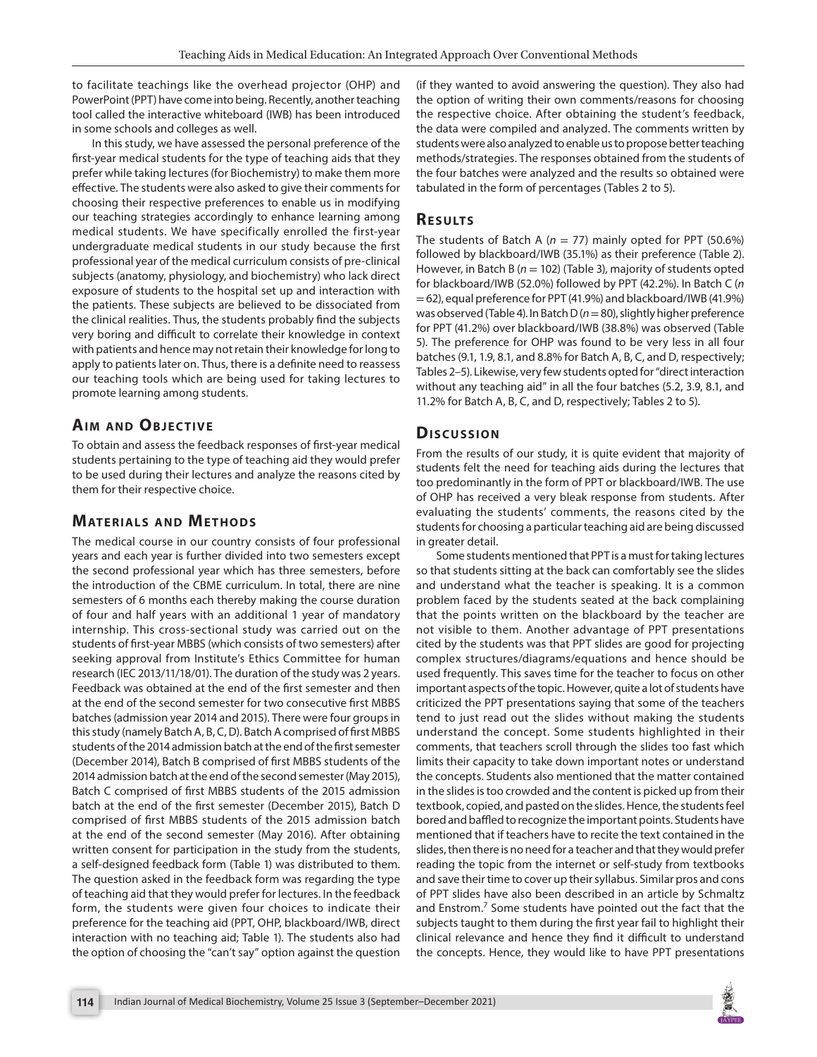to facilitate teachings like the overhead projector (OHP) and PowerPoint (PPT) have come into being. Recently, another teaching tool called the interactive whiteboard (IWB) has been introduced in some schools and colleges as well.

In this study, we have assessed the personal preference of the first-year medical students for the type of teaching aids that they prefer while taking lectures (for Biochemistry) to make them more effective. The students were also asked to give their comments for choosing their respective preferences to enable us in modifying our teaching strategies accordingly to enhance learning among medical students. We have specifically enrolled the first-year undergraduate medical students in our study because the first professional year of the medical curriculum consists of pre-clinical subjects (anatomy, physiology, and biochemistry) who lack direct exposure of students to the hospital set up and interaction with the patients. These subjects are believed to be dissociated from the clinical realities. Thus, the students probably find the subjects very boring and difficult to correlate their knowledge in context with patients and hence may not retain their knowledge for long to apply to patients later on. Thus, there is a definite need to reassess our teaching tools which are being used for taking lectures to promote learning among students.

# **AIM AND OBJECTIVE**

To obtain and assess the feedback responses of first-year medical students pertaining to the type of teaching aid they would prefer to be used during their lectures and analyze the reasons cited by them for their respective choice.

# **MATERIALS AND METHODS**

The medical course in our country consists of four professional years and each year is further divided into two semesters except the second professional year which has three semesters, before the introduction of the CBME curriculum. In total, there are nine semesters of 6 months each thereby making the course duration of four and half years with an additional 1 year of mandatory internship. This cross-sectional study was carried out on the students of first-year MBBS (which consists of two semesters) after seeking approval from Institute's Ethics Committee for human research (IEC 2013/11/18/01). The duration of the study was 2 years. Feedback was obtained at the end of the first semester and then at the end of the second semester for two consecutive first MBBS batches (admission year 2014 and 2015). There were four groups in this study (namely Batch A, B, C, D). Batch A comprised of first MBBS students of the 2014 admission batch at the end of the first semester (December 2014), Batch B comprised of first MBBS students of the 2014 admission batch at the end of the second semester (May 2015), Batch C comprised of first MBBS students of the 2015 admission batch at the end of the first semester (December 2015), Batch D comprised of first MBBS students of the 2015 admission batch at the end of the second semester (May 2016). After obtaining written consent for participation in the study from the students, a self-designed feedback form (Table 1) was distributed to them. The question asked in the feedback form was regarding the type of teaching aid that they would prefer for lectures. In the feedback form, the students were given four choices to indicate their preference for the teaching aid (PPT, OHP, blackboard/IWB, direct interaction with no teaching aid; Table 1). The students also had the option of choosing the "can't say" option against the question

(if they wanted to avoid answering the question). They also had the option of writing their own comments/reasons for choosing the respective choice. After obtaining the student's feedback, the data were compiled and analyzed. The comments written by students were also analyzed to enable us to propose better teaching methods/strategies. The responses obtained from the students of the four batches were analyzed and the results so obtained were tabulated in the form of percentages (Tables 2 to 5).

#### **Re s u lts**

The students of Batch A ( $n = 77$ ) mainly opted for PPT (50.6%) followed by blackboard/IWB (35.1%) as their preference (Table 2). However, in Batch B (*n* = 102) (Table 3), majority of students opted for blackboard/IWB (52.0%) followed by PPT (42.2%). In Batch C (*n* = 62), equal preference for PPT (41.9%) and blackboard/IWB (41.9%) was observed (Table 4). In Batch D (*n*= 80), slightly higher preference for PPT (41.2%) over blackboard/IWB (38.8%) was observed (Table 5). The preference for OHP was found to be very less in all four batches (9.1, 1.9, 8.1, and 8.8% for Batch A, B, C, and D, respectively; Tables 2–5). Likewise, very few students opted for "direct interaction without any teaching aid" in all the four batches (5.2, 3.9, 8.1, and 11.2% for Batch A, B, C, and D, respectively; Tables 2 to 5).

# **Dis c u s sio n**

From the results of our study, it is quite evident that majority of students felt the need for teaching aids during the lectures that too predominantly in the form of PPT or blackboard/IWB. The use of OHP has received a very bleak response from students. After evaluating the students' comments, the reasons cited by the students for choosing a particular teaching aid are being discussed in greater detail.

Some students mentioned that PPT is a must for taking lectures so that students sitting at the back can comfortably see the slides and understand what the teacher is speaking. It is a common problem faced by the students seated at the back complaining that the points written on the blackboard by the teacher are not visible to them. Another advantage of PPT presentations cited by the students was that PPT slides are good for projecting complex structures/diagrams/equations and hence should be used frequently. This saves time for the teacher to focus on other important aspects of the topic. However, quite a lot of students have criticized the PPT presentations saying that some of the teachers tend to just read out the slides without making the students understand the concept. Some students highlighted in their comments, that teachers scroll through the slides too fast which limits their capacity to take down important notes or understand the concepts. Students also mentioned that the matter contained in the slides is too crowded and the content is picked up from their textbook, copied, and pasted on the slides. Hence, the students feel bored and baffled to recognize the important points. Students have mentioned that if teachers have to recite the text contained in the slides, then there is no need for a teacher and that they would prefer reading the topic from the internet or self-study from textbooks and save their time to cover up their syllabus. Similar pros and cons of PPT slides have also been described in an article by Schmaltz and Enstrom.<sup>7</sup> Some students have pointed out the fact that the subjects taught to them during the first year fail to highlight their clinical relevance and hence they find it difficult to understand the concepts. Hence, they would like to have PPT presentations

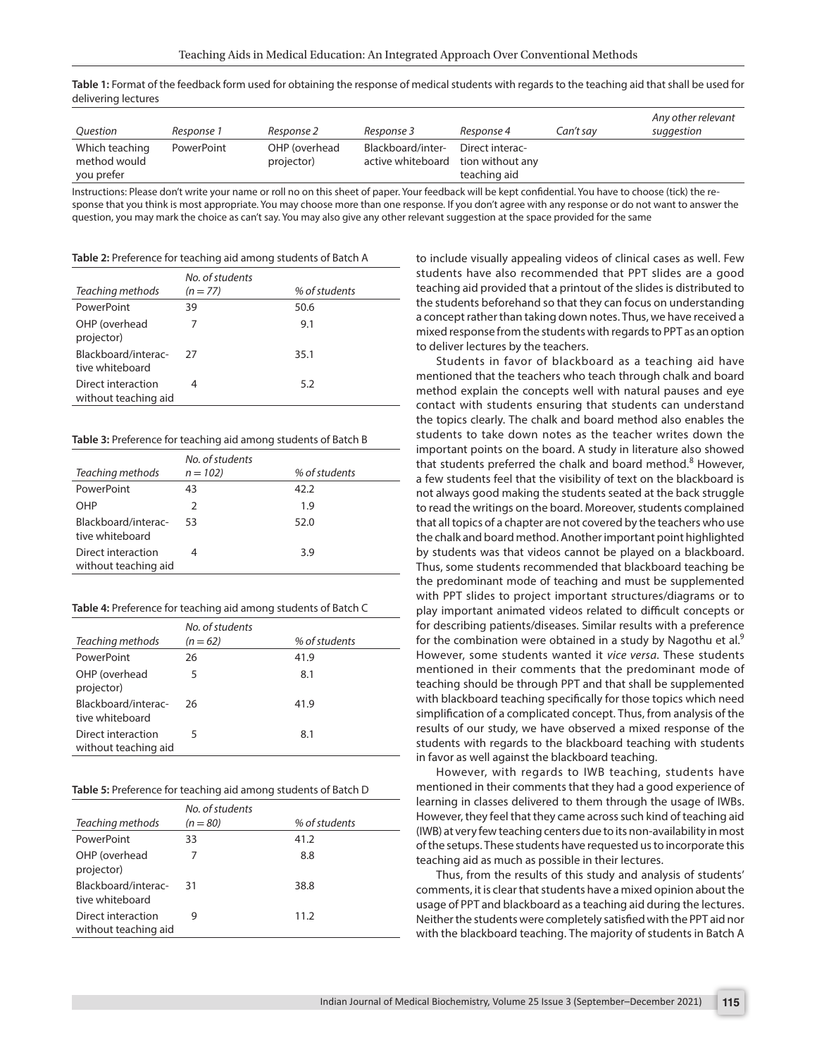**Table 1:** Format of the feedback form used for obtaining the response of medical students with regards to the teaching aid that shall be used for delivering lectures

| Question                                     | Response 1 | Response 2                  | Response 3                             | Response 4                                          | Can't sav | Any other relevant<br>suggestion |
|----------------------------------------------|------------|-----------------------------|----------------------------------------|-----------------------------------------------------|-----------|----------------------------------|
| Which teaching<br>method would<br>you prefer | PowerPoint | OHP (overhead<br>projector) | Blackboard/inter-<br>active whiteboard | Direct interac-<br>tion without any<br>teaching aid |           |                                  |

Instructions: Please don't write your name or roll no on this sheet of paper. Your feedback will be kept confidential. You have to choose (tick) the response that you think is most appropriate. You may choose more than one response. If you don't agree with any response or do not want to answer the question, you may mark the choice as can't say. You may also give any other relevant suggestion at the space provided for the same

| Table 2: Preference for teaching aid among students of Batch A |  |  |
|----------------------------------------------------------------|--|--|
|                                                                |  |  |

| Teaching methods                           | No. of students<br>$(n = 77)$ | % of students |
|--------------------------------------------|-------------------------------|---------------|
| PowerPoint                                 | 39                            | 50.6          |
| OHP (overhead<br>projector)                | 7                             | 9.1           |
| Blackboard/interac-<br>tive whiteboard     | -27                           | 35.1          |
| Direct interaction<br>without teaching aid |                               | 5.2           |

#### **Table 3:** Preference for teaching aid among students of Batch B

| Teaching methods                           | No. of students<br>$n = 102$ | % of students |
|--------------------------------------------|------------------------------|---------------|
| PowerPoint                                 | 43                           | 42.2          |
| OHP                                        | 2                            | 1.9           |
| Blackboard/interac-<br>tive whiteboard     | 53                           | 52.0          |
| Direct interaction<br>without teaching aid |                              | 3.9           |

| Table 4: Preference for teaching aid among students of Batch C |  |  |
|----------------------------------------------------------------|--|--|
|                                                                |  |  |

| Teaching methods                           | No. of students<br>$(n = 62)$ | % of students |
|--------------------------------------------|-------------------------------|---------------|
| PowerPoint                                 | 26                            | 41.9          |
| OHP (overhead<br>projector)                | 5                             | 8.1           |
| Blackboard/interac-<br>tive whiteboard     | 26                            | 41.9          |
| Direct interaction<br>without teaching aid | 5                             | 8.1           |

| <b>Table 5:</b> Preference for teaching aid among students of Batch D |  |  |
|-----------------------------------------------------------------------|--|--|
|                                                                       |  |  |

| Teaching methods                           | No. of students<br>$(n = 80)$ | % of students |
|--------------------------------------------|-------------------------------|---------------|
| PowerPoint                                 | 33                            | 41.2          |
| OHP (overhead<br>projector)                | 7                             | 8.8           |
| Blackboard/interac-<br>tive whiteboard     | -31                           | 38.8          |
| Direct interaction<br>without teaching aid | 9                             | 11.2          |

to include visually appealing videos of clinical cases as well. Few students have also recommended that PPT slides are a good teaching aid provided that a printout of the slides is distributed to the students beforehand so that they can focus on understanding a concept rather than taking down notes. Thus, we have received a mixed response from the students with regards to PPT as an option to deliver lectures by the teachers.

Students in favor of blackboard as a teaching aid have mentioned that the teachers who teach through chalk and board method explain the concepts well with natural pauses and eye contact with students ensuring that students can understand the topics clearly. The chalk and board method also enables the students to take down notes as the teacher writes down the important points on the board. A study in literature also showed that students preferred the chalk and board method.<sup>8</sup> However, a few students feel that the visibility of text on the blackboard is not always good making the students seated at the back struggle to read the writings on the board. Moreover, students complained that all topics of a chapter are not covered by the teachers who use the chalk and board method. Another important point highlighted by students was that videos cannot be played on a blackboard. Thus, some students recommended that blackboard teaching be the predominant mode of teaching and must be supplemented with PPT slides to project important structures/diagrams or to play important animated videos related to difficult concepts or for describing patients/diseases. Similar results with a preference for the combination were obtained in a study by Nagothu et al.<sup>9</sup> However, some students wanted it *vice versa*. These students mentioned in their comments that the predominant mode of teaching should be through PPT and that shall be supplemented with blackboard teaching specifically for those topics which need simplification of a complicated concept. Thus, from analysis of the results of our study, we have observed a mixed response of the students with regards to the blackboard teaching with students in favor as well against the blackboard teaching.

However, with regards to IWB teaching, students have mentioned in their comments that they had a good experience of learning in classes delivered to them through the usage of IWBs. However, they feel that they came across such kind of teaching aid (IWB) at very few teaching centers due to its non-availability in most of the setups. These students have requested us to incorporate this teaching aid as much as possible in their lectures.

Thus, from the results of this study and analysis of students' comments, it is clear that students have a mixed opinion about the usage of PPT and blackboard as a teaching aid during the lectures. Neither the students were completely satisfied with the PPT aid nor with the blackboard teaching. The majority of students in Batch A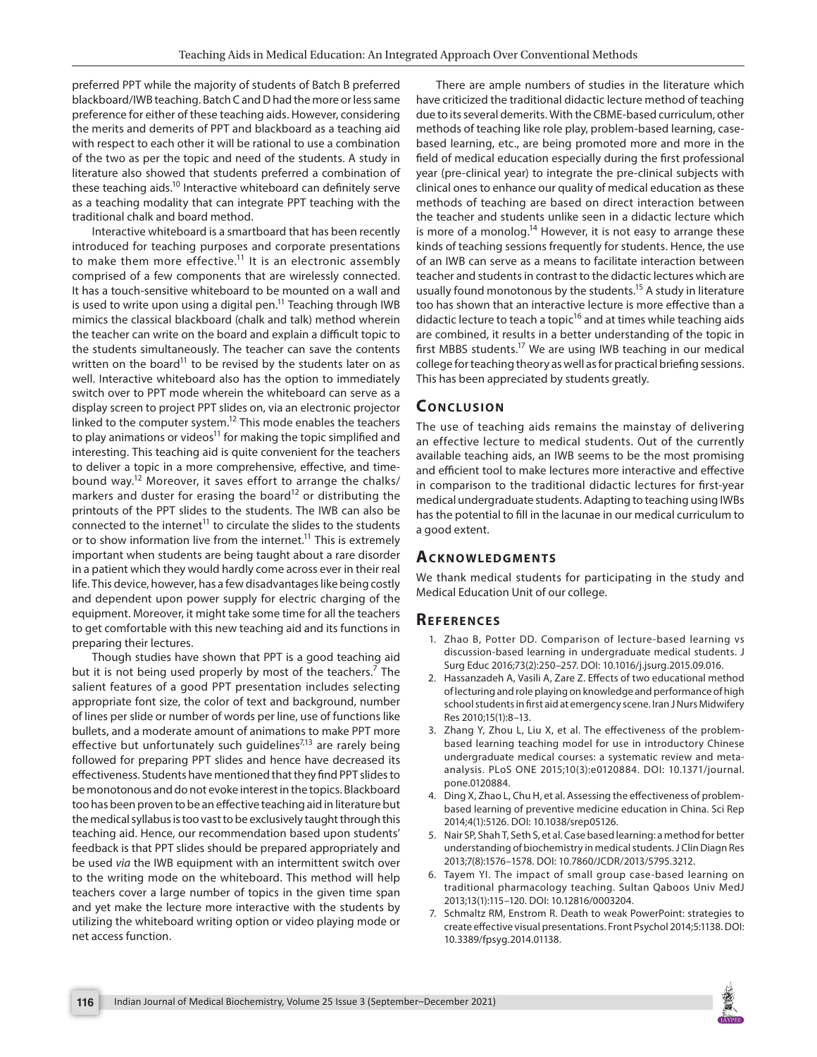preferred PPT while the majority of students of Batch B preferred blackboard/IWB teaching. Batch C and D had the more or less same preference for either of these teaching aids. However, considering the merits and demerits of PPT and blackboard as a teaching aid with respect to each other it will be rational to use a combination of the two as per the topic and need of the students. A study in literature also showed that students preferred a combination of these teaching aids.<sup>10</sup> Interactive whiteboard can definitely serve as a teaching modality that can integrate PPT teaching with the traditional chalk and board method.

Interactive whiteboard is a smartboard that has been recently introduced for teaching purposes and corporate presentations to make them more effective.<sup>11</sup> It is an electronic assembly comprised of a few components that are wirelessly connected. It has a touch-sensitive whiteboard to be mounted on a wall and is used to write upon using a digital pen.<sup>11</sup> Teaching through IWB mimics the classical blackboard (chalk and talk) method wherein the teacher can write on the board and explain a difficult topic to the students simultaneously. The teacher can save the contents written on the board $^{11}$  to be revised by the students later on as well. Interactive whiteboard also has the option to immediately switch over to PPT mode wherein the whiteboard can serve as a display screen to project PPT slides on, via an electronic projector linked to the computer system.<sup>12</sup> This mode enables the teachers to play animations or videos<sup>11</sup> for making the topic simplified and interesting. This teaching aid is quite convenient for the teachers to deliver a topic in a more comprehensive, effective, and timebound way.12 Moreover, it saves effort to arrange the chalks/ markers and duster for erasing the board<sup>12</sup> or distributing the printouts of the PPT slides to the students. The IWB can also be connected to the internet<sup>11</sup> to circulate the slides to the students or to show information live from the internet.<sup>11</sup> This is extremely important when students are being taught about a rare disorder in a patient which they would hardly come across ever in their real life. This device, however, has a few disadvantages like being costly and dependent upon power supply for electric charging of the equipment. Moreover, it might take some time for all the teachers to get comfortable with this new teaching aid and its functions in preparing their lectures.

Though studies have shown that PPT is a good teaching aid but it is not being used properly by most of the teachers.<sup>7</sup> The salient features of a good PPT presentation includes selecting appropriate font size, the color of text and background, number of lines per slide or number of words per line, use of functions like bullets, and a moderate amount of animations to make PPT more effective but unfortunately such guidelines $^{7,13}$  are rarely being followed for preparing PPT slides and hence have decreased its effectiveness. Students have mentioned that they find PPT slides to be monotonous and do not evoke interest in the topics. Blackboard too has been proven to be an effective teaching aid in literature but the medical syllabus is too vast to be exclusively taught through this teaching aid. Hence, our recommendation based upon students' feedback is that PPT slides should be prepared appropriately and be used *via* the IWB equipment with an intermittent switch over to the writing mode on the whiteboard. This method will help teachers cover a large number of topics in the given time span and yet make the lecture more interactive with the students by utilizing the whiteboard writing option or video playing mode or net access function.

There are ample numbers of studies in the literature which have criticized the traditional didactic lecture method of teaching due to its several demerits. With the CBME-based curriculum, other methods of teaching like role play, problem-based learning, casebased learning, etc., are being promoted more and more in the field of medical education especially during the first professional year (pre-clinical year) to integrate the pre-clinical subjects with clinical ones to enhance our quality of medical education as these methods of teaching are based on direct interaction between the teacher and students unlike seen in a didactic lecture which is more of a monolog.<sup>14</sup> However, it is not easy to arrange these kinds of teaching sessions frequently for students. Hence, the use of an IWB can serve as a means to facilitate interaction between teacher and students in contrast to the didactic lectures which are usually found monotonous by the students.<sup>15</sup> A study in literature too has shown that an interactive lecture is more effective than a didactic lecture to teach a topic<sup>16</sup> and at times while teaching aids are combined, it results in a better understanding of the topic in first MBBS students.<sup>17</sup> We are using IWB teaching in our medical college for teaching theory as well as for practical briefing sessions. This has been appreciated by students greatly.

#### **CONCLUSION**

The use of teaching aids remains the mainstay of delivering an effective lecture to medical students. Out of the currently available teaching aids, an IWB seems to be the most promising and efficient tool to make lectures more interactive and effective in comparison to the traditional didactic lectures for first-year medical undergraduate students. Adapting to teaching using IWBs has the potential to fill in the lacunae in our medical curriculum to a good extent.

#### **ACKNOWLEDGMENTS**

We thank medical students for participating in the study and Medical Education Unit of our college.

#### **Re f e r e n c e s**

- 1. Zhao B, Potter DD. Comparison of lecture-based learning vs discussion-based learning in undergraduate medical students. J Surg Educ 2016;73(2):250–257. DOI: 10.1016/j.jsurg.2015.09.016.
- 2. Hassanzadeh A, Vasili A, Zare Z. Effects of two educational method of lecturing and role playing on knowledge and performance of high school students in first aid at emergency scene. Iran J Nurs Midwifery Res 2010;15(1):8–13.
- 3. Zhang Y, Zhou L, Liu X, et al. The effectiveness of the problembased learning teaching model for use in introductory Chinese undergraduate medical courses: a systematic review and metaanalysis. PLoS ONE 2015;10(3):e0120884. DOI: 10.1371/journal. pone.0120884.
- 4. Ding X, Zhao L, Chu H, et al. Assessing the effectiveness of problembased learning of preventive medicine education in China. Sci Rep 2014;4(1):5126. DOI: 10.1038/srep05126.
- 5. Nair SP, Shah T, Seth S, et al. Case based learning: a method for better understanding of biochemistry in medical students. J Clin Diagn Res 2013;7(8):1576–1578. DOI: 10.7860/JCDR/2013/5795.3212.
- 6. Tayem YI. The impact of small group case-based learning on traditional pharmacology teaching. Sultan Qaboos Univ MedJ 2013;13(1):115–120. DOI: 10.12816/0003204.
- 7. Schmaltz RM, Enstrom R. Death to weak PowerPoint: strategies to create effective visual presentations. Front Psychol 2014;5:1138. DOI: 10.3389/fpsyg.2014.01138.